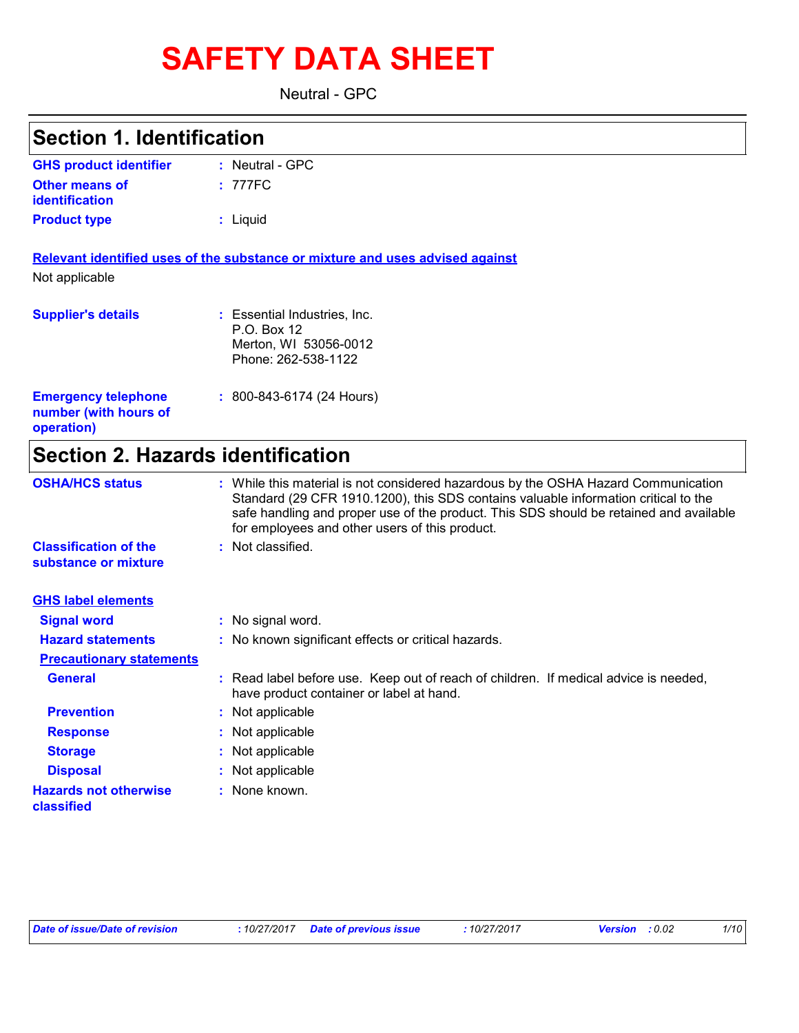# **SAFETY DATA SHEET**

Neutral - GPC

| <b>Section 1. Identification</b>                                  |                                                                                                                                                                                                                                                                                                                       |
|-------------------------------------------------------------------|-----------------------------------------------------------------------------------------------------------------------------------------------------------------------------------------------------------------------------------------------------------------------------------------------------------------------|
| <b>GHS product identifier</b>                                     | : Neutral - GPC                                                                                                                                                                                                                                                                                                       |
| <b>Other means of</b><br>identification                           | : 777FC                                                                                                                                                                                                                                                                                                               |
| <b>Product type</b>                                               | : Liquid                                                                                                                                                                                                                                                                                                              |
| Not applicable                                                    | Relevant identified uses of the substance or mixture and uses advised against                                                                                                                                                                                                                                         |
| <b>Supplier's details</b>                                         | : Essential Industries, Inc.<br>P.O. Box 12<br>Merton, WI 53056-0012<br>Phone: 262-538-1122                                                                                                                                                                                                                           |
| <b>Emergency telephone</b><br>number (with hours of<br>operation) | $: 800 - 843 - 6174 (24$ Hours)                                                                                                                                                                                                                                                                                       |
| <b>Section 2. Hazards identification</b>                          |                                                                                                                                                                                                                                                                                                                       |
| <b>OSHA/HCS status</b>                                            | : While this material is not considered hazardous by the OSHA Hazard Communication<br>Standard (29 CFR 1910.1200), this SDS contains valuable information critical to the<br>safe handling and proper use of the product. This SDS should be retained and available<br>for employees and other users of this product. |
| <b>Classification of the</b><br>substance or mixture              | : Not classified.                                                                                                                                                                                                                                                                                                     |
| <b>GHS label elements</b>                                         |                                                                                                                                                                                                                                                                                                                       |
| <b>Signal word</b>                                                | : No signal word.                                                                                                                                                                                                                                                                                                     |
| <b>Hazard statements</b>                                          | No known significant effects or critical hazards.                                                                                                                                                                                                                                                                     |
| <b>Precautionary statements</b>                                   |                                                                                                                                                                                                                                                                                                                       |
| <b>General</b>                                                    | : Read label before use. Keep out of reach of children. If medical advice is needed,<br>have product container or label at hand.                                                                                                                                                                                      |
| <b>Prevention</b>                                                 | Not applicable                                                                                                                                                                                                                                                                                                        |
| <b>Response</b>                                                   | Not applicable                                                                                                                                                                                                                                                                                                        |
| <b>Storage</b>                                                    | Not applicable                                                                                                                                                                                                                                                                                                        |
| <b>Disposal</b>                                                   | Not applicable                                                                                                                                                                                                                                                                                                        |
| <b>Hazards not otherwise</b><br>classified                        | None known.                                                                                                                                                                                                                                                                                                           |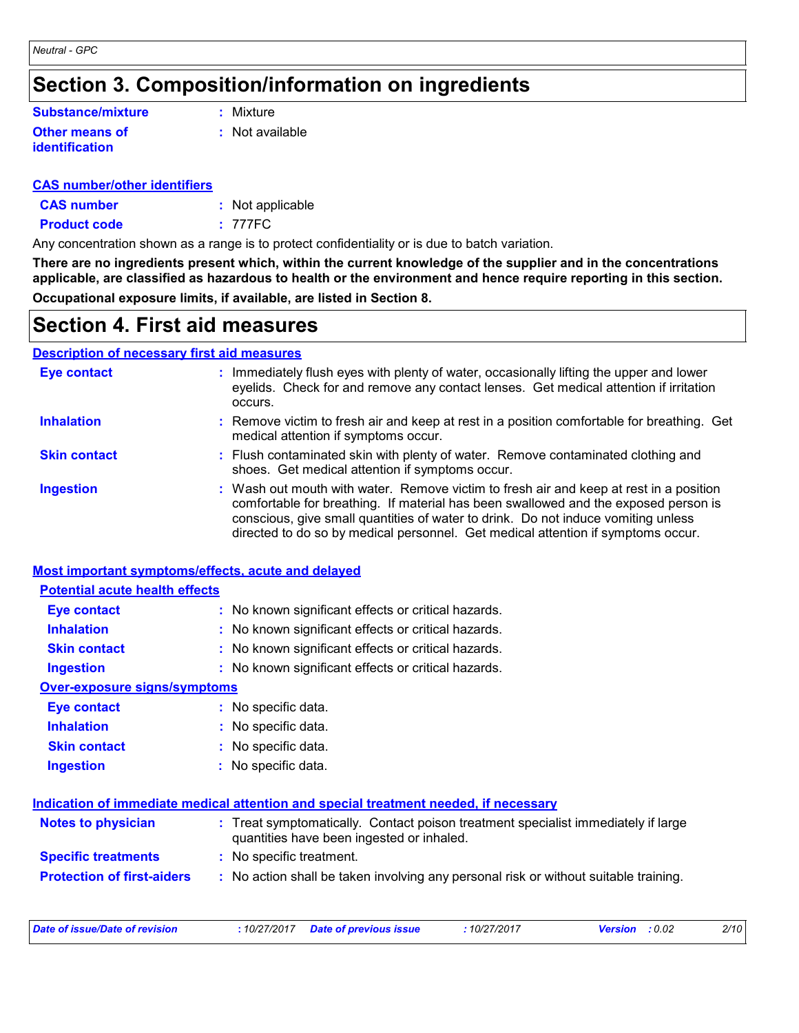### **Section 3. Composition/information on ingredients**

| Substance/mixture                | : Mixture       |
|----------------------------------|-----------------|
| Other means of<br>identification | : Not available |

#### **CAS number/other identifiers**

| <b>CAS number</b>   | : Not applicable |
|---------------------|------------------|
| <b>Product code</b> | : 777FC          |

Any concentration shown as a range is to protect confidentiality or is due to batch variation.

**There are no ingredients present which, within the current knowledge of the supplier and in the concentrations applicable, are classified as hazardous to health or the environment and hence require reporting in this section. Occupational exposure limits, if available, are listed in Section 8.**

### **Section 4. First aid measures**

#### **Description of necessary first aid measures**

| Eye contact         | : Immediately flush eyes with plenty of water, occasionally lifting the upper and lower<br>eyelids. Check for and remove any contact lenses. Get medical attention if irritation<br>occurs.                                                                                                                                                            |
|---------------------|--------------------------------------------------------------------------------------------------------------------------------------------------------------------------------------------------------------------------------------------------------------------------------------------------------------------------------------------------------|
| <b>Inhalation</b>   | : Remove victim to fresh air and keep at rest in a position comfortable for breathing. Get<br>medical attention if symptoms occur.                                                                                                                                                                                                                     |
| <b>Skin contact</b> | : Flush contaminated skin with plenty of water. Remove contaminated clothing and<br>shoes. Get medical attention if symptoms occur.                                                                                                                                                                                                                    |
| <b>Ingestion</b>    | : Wash out mouth with water. Remove victim to fresh air and keep at rest in a position<br>comfortable for breathing. If material has been swallowed and the exposed person is<br>conscious, give small quantities of water to drink. Do not induce vomiting unless<br>directed to do so by medical personnel. Get medical attention if symptoms occur. |

#### **Most important symptoms/effects, acute and delayed**

| <b>Potential acute health effects</b> |                                                                                                                                |
|---------------------------------------|--------------------------------------------------------------------------------------------------------------------------------|
| <b>Eye contact</b>                    | : No known significant effects or critical hazards.                                                                            |
| <b>Inhalation</b>                     | : No known significant effects or critical hazards.                                                                            |
| <b>Skin contact</b>                   | : No known significant effects or critical hazards.                                                                            |
| <b>Ingestion</b>                      | : No known significant effects or critical hazards.                                                                            |
| Over-exposure signs/symptoms          |                                                                                                                                |
| <b>Eye contact</b>                    | : No specific data.                                                                                                            |
| <b>Inhalation</b>                     | : No specific data.                                                                                                            |
| <b>Skin contact</b>                   | : No specific data.                                                                                                            |
| <b>Ingestion</b>                      | : No specific data.                                                                                                            |
|                                       | Indication of immediate medical attention and special treatment needed, if necessary                                           |
| <b>Notes to physician</b>             | : Treat symptomatically. Contact poison treatment specialist immediately if large<br>quantities have been ingested or inhaled. |
| <b>Specific treatments</b>            | : No specific treatment.                                                                                                       |
| <b>Protection of first-aiders</b>     | : No action shall be taken involving any personal risk or without suitable training.                                           |
|                                       |                                                                                                                                |

| Date of issue/Date of revision |  | : 10/27/2017 Date of previous issue | : 10/27/2017 | <b>Version</b> : 0.02 | 2/10 |
|--------------------------------|--|-------------------------------------|--------------|-----------------------|------|
|--------------------------------|--|-------------------------------------|--------------|-----------------------|------|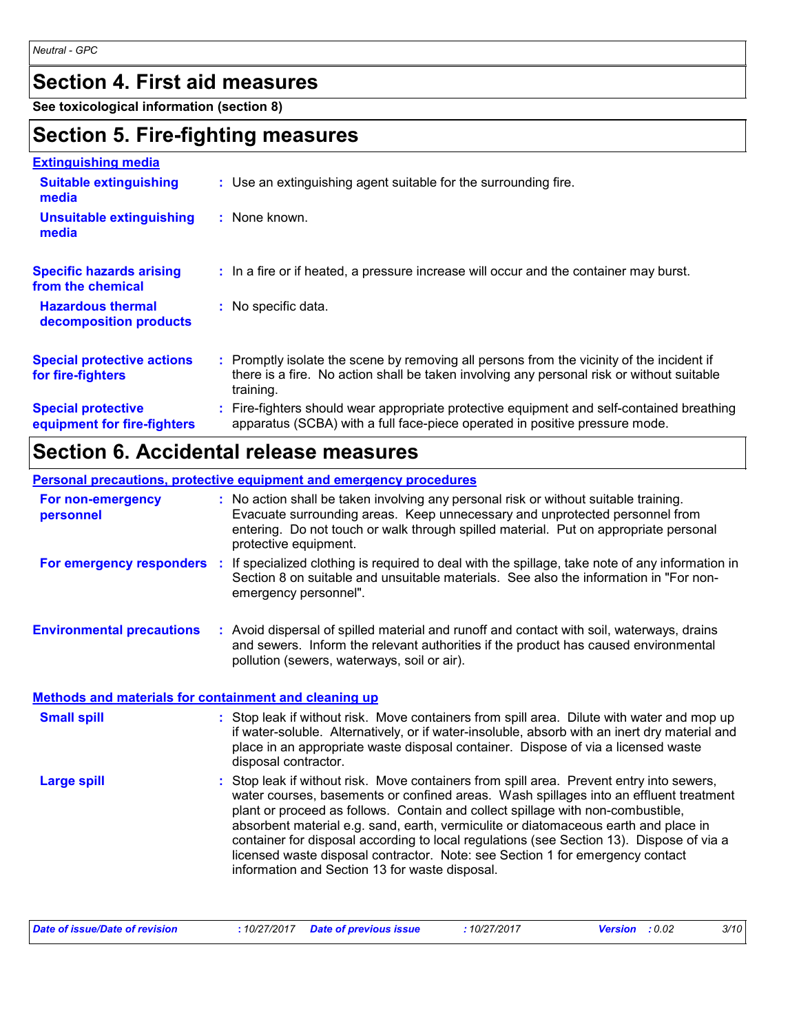### **Section 4. First aid measures**

**See toxicological information (section 8)**

### **Section 5. Fire-fighting measures**

| <b>Extinguishing media</b>                               |                                                                                                                                                                                                     |
|----------------------------------------------------------|-----------------------------------------------------------------------------------------------------------------------------------------------------------------------------------------------------|
| <b>Suitable extinguishing</b><br>media                   | : Use an extinguishing agent suitable for the surrounding fire.                                                                                                                                     |
| <b>Unsuitable extinguishing</b><br>media                 | : None known.                                                                                                                                                                                       |
| <b>Specific hazards arising</b><br>from the chemical     | : In a fire or if heated, a pressure increase will occur and the container may burst.                                                                                                               |
| <b>Hazardous thermal</b><br>decomposition products       | : No specific data.                                                                                                                                                                                 |
| <b>Special protective actions</b><br>for fire-fighters   | : Promptly isolate the scene by removing all persons from the vicinity of the incident if<br>there is a fire. No action shall be taken involving any personal risk or without suitable<br>training. |
| <b>Special protective</b><br>equipment for fire-fighters | Fire-fighters should wear appropriate protective equipment and self-contained breathing<br>apparatus (SCBA) with a full face-piece operated in positive pressure mode.                              |

### **Section 6. Accidental release measures**

#### **Personal precautions, protective equipment and emergency procedures**

| For non-emergency<br>personnel                               |    | : No action shall be taken involving any personal risk or without suitable training.<br>Evacuate surrounding areas. Keep unnecessary and unprotected personnel from<br>entering. Do not touch or walk through spilled material. Put on appropriate personal<br>protective equipment.                                                                                                                                                                    |
|--------------------------------------------------------------|----|---------------------------------------------------------------------------------------------------------------------------------------------------------------------------------------------------------------------------------------------------------------------------------------------------------------------------------------------------------------------------------------------------------------------------------------------------------|
| For emergency responders                                     | ÷. | If specialized clothing is required to deal with the spillage, take note of any information in<br>Section 8 on suitable and unsuitable materials. See also the information in "For non-<br>emergency personnel".                                                                                                                                                                                                                                        |
| <b>Environmental precautions</b>                             |    | : Avoid dispersal of spilled material and runoff and contact with soil, waterways, drains<br>and sewers. Inform the relevant authorities if the product has caused environmental<br>pollution (sewers, waterways, soil or air).                                                                                                                                                                                                                         |
| <b>Methods and materials for containment and cleaning up</b> |    |                                                                                                                                                                                                                                                                                                                                                                                                                                                         |
| <b>Small spill</b>                                           |    | : Stop leak if without risk. Move containers from spill area. Dilute with water and mop up<br>if water-soluble. Alternatively, or if water-insoluble, absorb with an inert dry material and<br>place in an appropriate waste disposal container. Dispose of via a licensed waste<br>disposal contractor.                                                                                                                                                |
| <b>Large spill</b>                                           |    | : Stop leak if without risk. Move containers from spill area. Prevent entry into sewers,<br>water courses, basements or confined areas. Wash spillages into an effluent treatment<br>plant or proceed as follows. Contain and collect spillage with non-combustible,<br>absorbent material e.g. sand, earth, vermiculite or diatomaceous earth and place in<br>container for disposal according to local regulations (see Section 13). Dispose of via a |

| Date of issue/Date of revision | : 10/27/2017 Date of previous issue | : 10/27/2017 | <b>Version</b> : 0.02 | 3/10 |
|--------------------------------|-------------------------------------|--------------|-----------------------|------|
|--------------------------------|-------------------------------------|--------------|-----------------------|------|

information and Section 13 for waste disposal.

licensed waste disposal contractor. Note: see Section 1 for emergency contact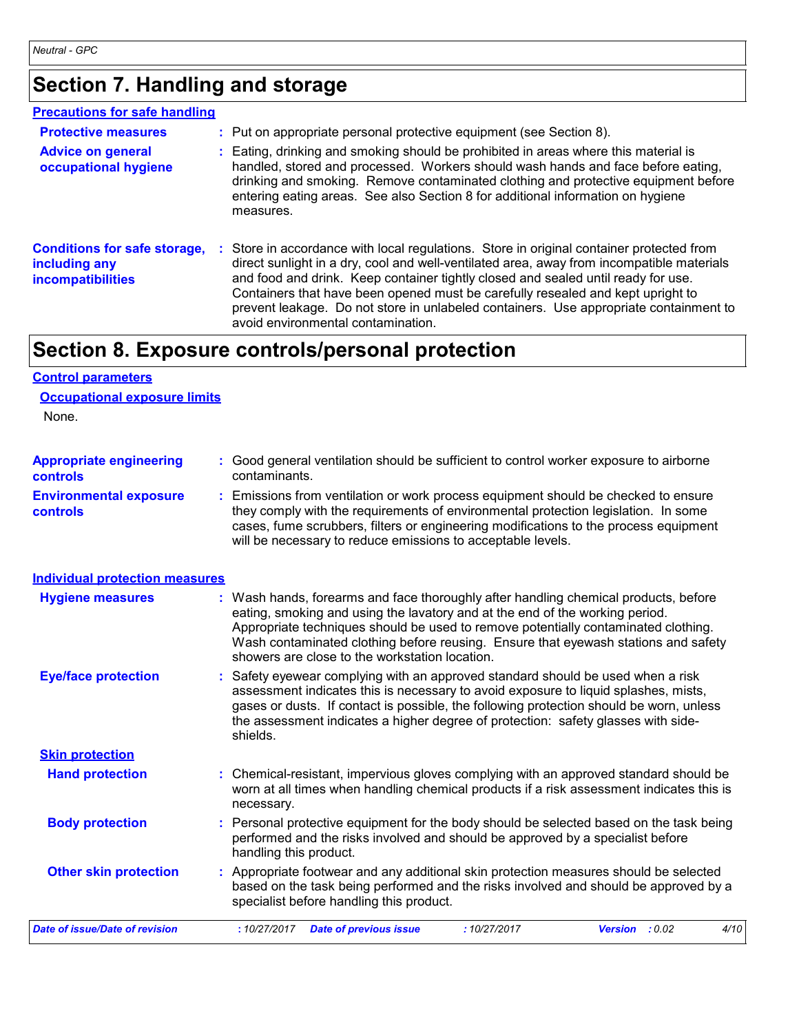### **Section 7. Handling and storage**

#### **Precautions for safe handling**

| <b>Protective measures</b>                                                       | : Put on appropriate personal protective equipment (see Section 8).                                                                                                                                                                                                                                                                                                                                                                                                                          |
|----------------------------------------------------------------------------------|----------------------------------------------------------------------------------------------------------------------------------------------------------------------------------------------------------------------------------------------------------------------------------------------------------------------------------------------------------------------------------------------------------------------------------------------------------------------------------------------|
| <b>Advice on general</b><br>occupational hygiene                                 | : Eating, drinking and smoking should be prohibited in areas where this material is<br>handled, stored and processed. Workers should wash hands and face before eating,<br>drinking and smoking. Remove contaminated clothing and protective equipment before<br>entering eating areas. See also Section 8 for additional information on hygiene<br>measures.                                                                                                                                |
| <b>Conditions for safe storage,</b><br>including any<br><b>incompatibilities</b> | : Store in accordance with local regulations. Store in original container protected from<br>direct sunlight in a dry, cool and well-ventilated area, away from incompatible materials<br>and food and drink. Keep container tightly closed and sealed until ready for use.<br>Containers that have been opened must be carefully resealed and kept upright to<br>prevent leakage. Do not store in unlabeled containers. Use appropriate containment to<br>avoid environmental contamination. |

### **Section 8. Exposure controls/personal protection**

#### None. Safety eyewear complying with an approved standard should be used when a risk **:** assessment indicates this is necessary to avoid exposure to liquid splashes, mists, gases or dusts. If contact is possible, the following protection should be worn, unless the assessment indicates a higher degree of protection: safety glasses with sideshields. **Eye/face protection Environmental exposure controls :** Emissions from ventilation or work process equipment should be checked to ensure they comply with the requirements of environmental protection legislation. In some cases, fume scrubbers, filters or engineering modifications to the process equipment will be necessary to reduce emissions to acceptable levels. **Appropriate engineering controls :** Good general ventilation should be sufficient to control worker exposure to airborne contaminants. Wash hands, forearms and face thoroughly after handling chemical products, before eating, smoking and using the lavatory and at the end of the working period. Appropriate techniques should be used to remove potentially contaminated clothing. Wash contaminated clothing before reusing. Ensure that eyewash stations and safety showers are close to the workstation location. **Hygiene measures : Control parameters Individual protection measures Occupational exposure limits Skin protection**

| <b>UNIII DIVIGULIUII</b>       |                                                                                                                                                                                                                           |      |
|--------------------------------|---------------------------------------------------------------------------------------------------------------------------------------------------------------------------------------------------------------------------|------|
| <b>Hand protection</b>         | : Chemical-resistant, impervious gloves complying with an approved standard should be<br>worn at all times when handling chemical products if a risk assessment indicates this is<br>necessary.                           |      |
| <b>Body protection</b>         | : Personal protective equipment for the body should be selected based on the task being<br>performed and the risks involved and should be approved by a specialist before<br>handling this product.                       |      |
| <b>Other skin protection</b>   | : Appropriate footwear and any additional skin protection measures should be selected<br>based on the task being performed and the risks involved and should be approved by a<br>specialist before handling this product. |      |
| Date of issue/Date of revision | <b>Date of previous issue</b><br>:10/27/2017<br>:10/27/2017<br><b>Version</b> : $0.02$                                                                                                                                    | 4/10 |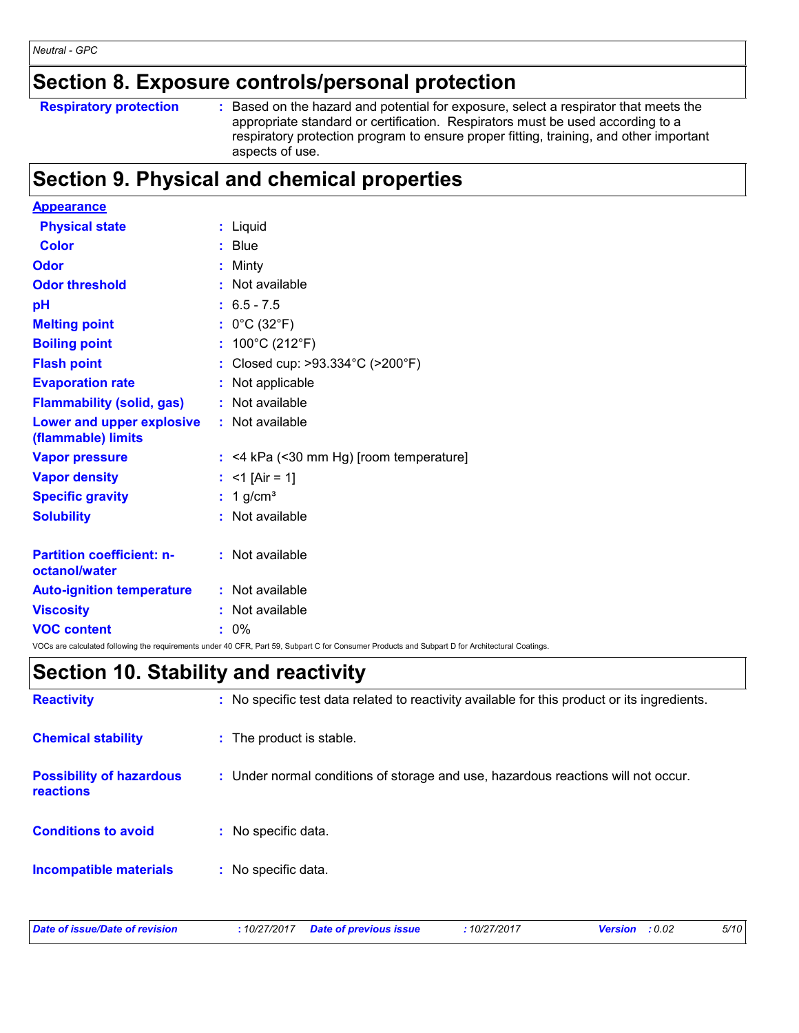### **Section 8. Exposure controls/personal protection**

**Respiratory protection :**

: Based on the hazard and potential for exposure, select a respirator that meets the appropriate standard or certification. Respirators must be used according to a respiratory protection program to ensure proper fitting, training, and other important aspects of use.

### **Section 9. Physical and chemical properties**

| <b>Appearance</b>                                 |                                                                                                                                                 |
|---------------------------------------------------|-------------------------------------------------------------------------------------------------------------------------------------------------|
| <b>Physical state</b>                             | : Liquid                                                                                                                                        |
| <b>Color</b>                                      | $:$ Blue                                                                                                                                        |
| <b>Odor</b>                                       | : Minty                                                                                                                                         |
| <b>Odor threshold</b>                             | : Not available                                                                                                                                 |
| рH                                                | $: 6.5 - 7.5$                                                                                                                                   |
| <b>Melting point</b>                              | : $0^{\circ}$ C (32 $^{\circ}$ F)                                                                                                               |
| <b>Boiling point</b>                              | : $100^{\circ}$ C (212 $^{\circ}$ F)                                                                                                            |
| <b>Flash point</b>                                | : Closed cup: >93.334°C (>200°F)                                                                                                                |
| <b>Evaporation rate</b>                           | : Not applicable                                                                                                                                |
| <b>Flammability (solid, gas)</b>                  | : Not available                                                                                                                                 |
| Lower and upper explosive<br>(flammable) limits   | : Not available                                                                                                                                 |
| <b>Vapor pressure</b>                             | $:$ <4 kPa (<30 mm Hg) [room temperature]                                                                                                       |
| <b>Vapor density</b>                              | : <1 [Air = 1]                                                                                                                                  |
| <b>Specific gravity</b>                           | : $1$ g/cm <sup>3</sup>                                                                                                                         |
| <b>Solubility</b>                                 | : Not available                                                                                                                                 |
| <b>Partition coefficient: n-</b><br>octanol/water | : Not available                                                                                                                                 |
| <b>Auto-ignition temperature</b>                  | : Not available                                                                                                                                 |
| <b>Viscosity</b>                                  | : Not available                                                                                                                                 |
| <b>VOC content</b>                                | $: 0\%$                                                                                                                                         |
|                                                   | VOCs are calculated following the requirements under 40 CFR, Part 59, Subpart C for Consumer Products and Subpart D for Architectural Coatings. |

### **Section 10. Stability and reactivity**

| <b>Reactivity</b>                            | : No specific test data related to reactivity available for this product or its ingredients. |
|----------------------------------------------|----------------------------------------------------------------------------------------------|
| <b>Chemical stability</b>                    | : The product is stable.                                                                     |
| <b>Possibility of hazardous</b><br>reactions | : Under normal conditions of storage and use, hazardous reactions will not occur.            |
| <b>Conditions to avoid</b>                   | : No specific data.                                                                          |
| <b>Incompatible materials</b>                | : No specific data.                                                                          |

|  | Date of issue/Date of revision |  |
|--|--------------------------------|--|
|--|--------------------------------|--|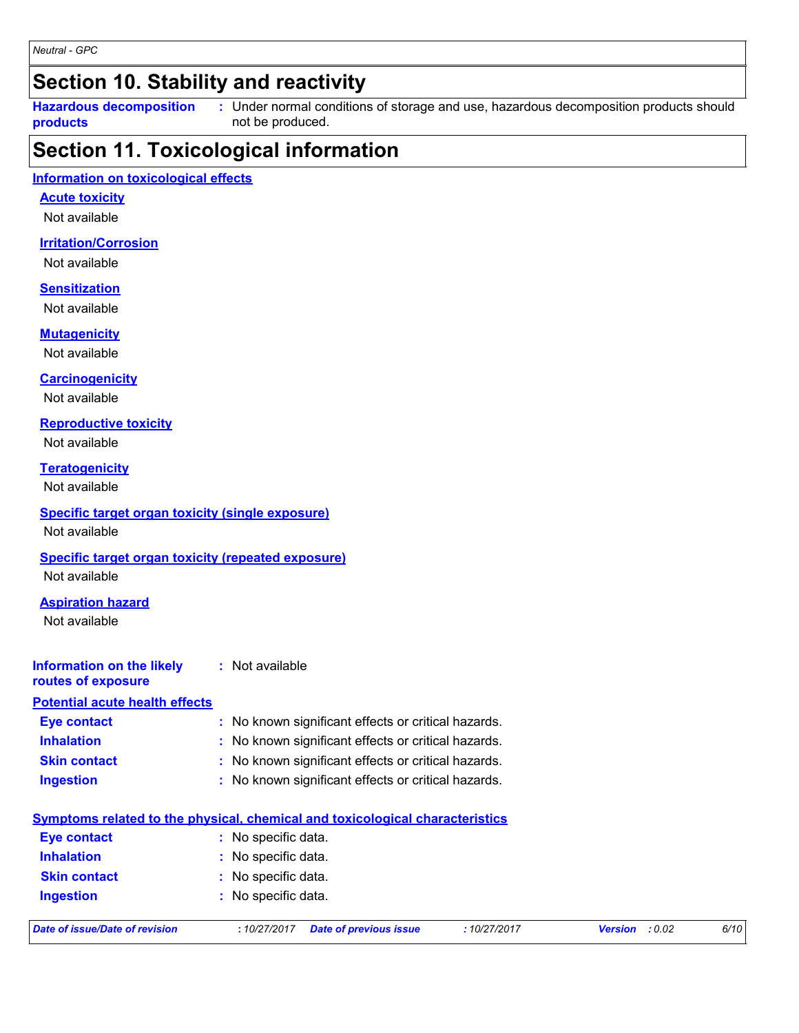### **Section 10. Stability and reactivity**

**Hazardous decomposition products**

Under normal conditions of storage and use, hazardous decomposition products should **:** not be produced.

### **Section 11. Toxicological information**

#### **Information on toxicological effects**

#### **Acute toxicity**

Not available

#### **Irritation/Corrosion**

Not available

#### **Sensitization**

Not available

#### **Mutagenicity**

Not available

#### **Carcinogenicity**

Not available

#### **Reproductive toxicity**

Not available

#### **Teratogenicity**

Not available

#### **Specific target organ toxicity (single exposure)**

Not available

#### **Specific target organ toxicity (repeated exposure)**

Not available

#### **Aspiration hazard**

Not available

#### **Information on the likely :** Not available

#### **routes of exposure Potential acute health effects**

| Eye contact         | : No known significant effects or critical hazards. |
|---------------------|-----------------------------------------------------|
| <b>Inhalation</b>   | : No known significant effects or critical hazards. |
| <b>Skin contact</b> | : No known significant effects or critical hazards. |
| <b>Ingestion</b>    | : No known significant effects or critical hazards. |

|                                         | <u>Symptoms related to the physical, chemical and toxicological characteristics</u> |             |                          |      |
|-----------------------------------------|-------------------------------------------------------------------------------------|-------------|--------------------------|------|
| <b>Eye contact</b>                      | : No specific data.                                                                 |             |                          |      |
| <b>Inhalation</b>                       | : No specific data.<br>: No specific data.                                          |             |                          |      |
| <b>Skin contact</b>                     |                                                                                     |             |                          |      |
| : No specific data.<br><b>Ingestion</b> |                                                                                     |             |                          |      |
| Date of issue/Date of revision          | <b>Date of previous issue</b><br>:10/27/2017                                        | :10/27/2017 | : 0.02<br><b>Version</b> | 6/10 |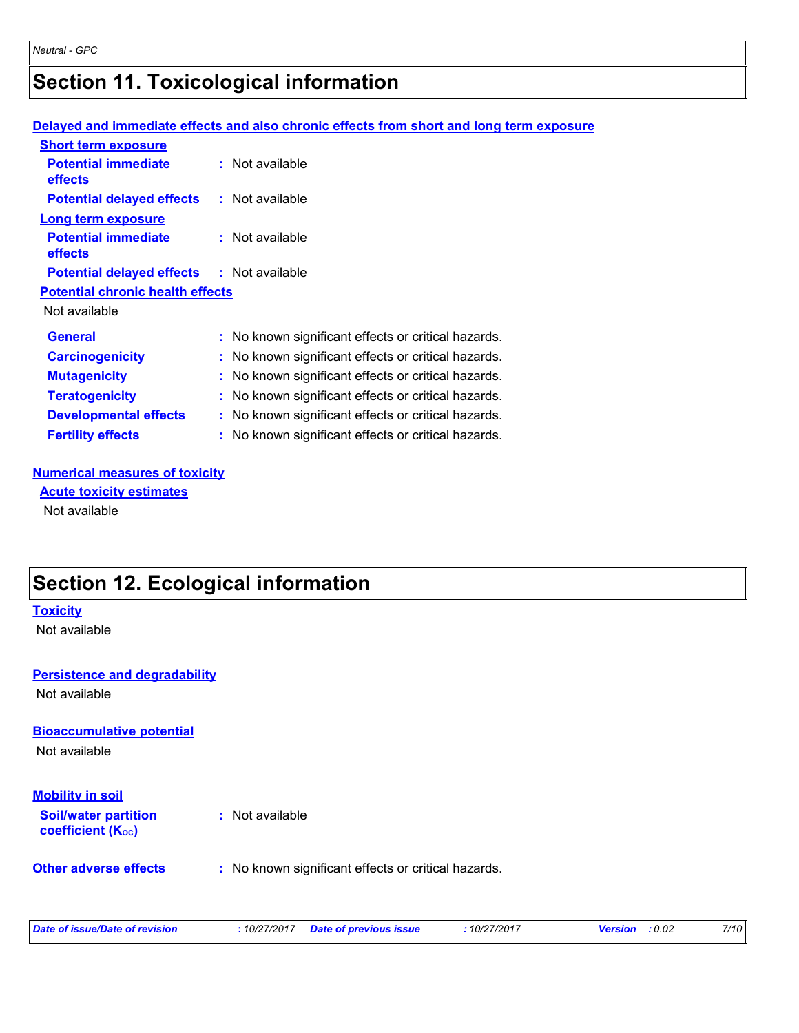## **Section 11. Toxicological information**

### **Delayed and immediate effects and also chronic effects from short and long term exposure**

| $:$ Not available                                   |
|-----------------------------------------------------|
| : Not available                                     |
|                                                     |
| $:$ Not available                                   |
| <b>Potential delayed effects : Not available</b>    |
| <b>Potential chronic health effects</b>             |
|                                                     |
| : No known significant effects or critical hazards. |
| : No known significant effects or critical hazards. |
| : No known significant effects or critical hazards. |
| No known significant effects or critical hazards.   |
| No known significant effects or critical hazards.   |
| No known significant effects or critical hazards.   |
|                                                     |

#### **Numerical measures of toxicity**

Not available **Acute toxicity estimates**

### **Section 12. Ecological information**

#### **Toxicity**

Not available

#### **Persistence and degradability**

Not available

#### **Bioaccumulative potential**

Not available

#### **Mobility in soil**

**Soil/water partition coefficient (Koc)** 

**:** Not available

#### **Other adverse effects** : No known significant effects or critical hazards.

| Date of issue/Date of revision | : 10/27/2017 Date of previous issue | : 10/27/2017 | <b>Version</b> : 0.02 | 7/10 |
|--------------------------------|-------------------------------------|--------------|-----------------------|------|
|                                |                                     |              |                       |      |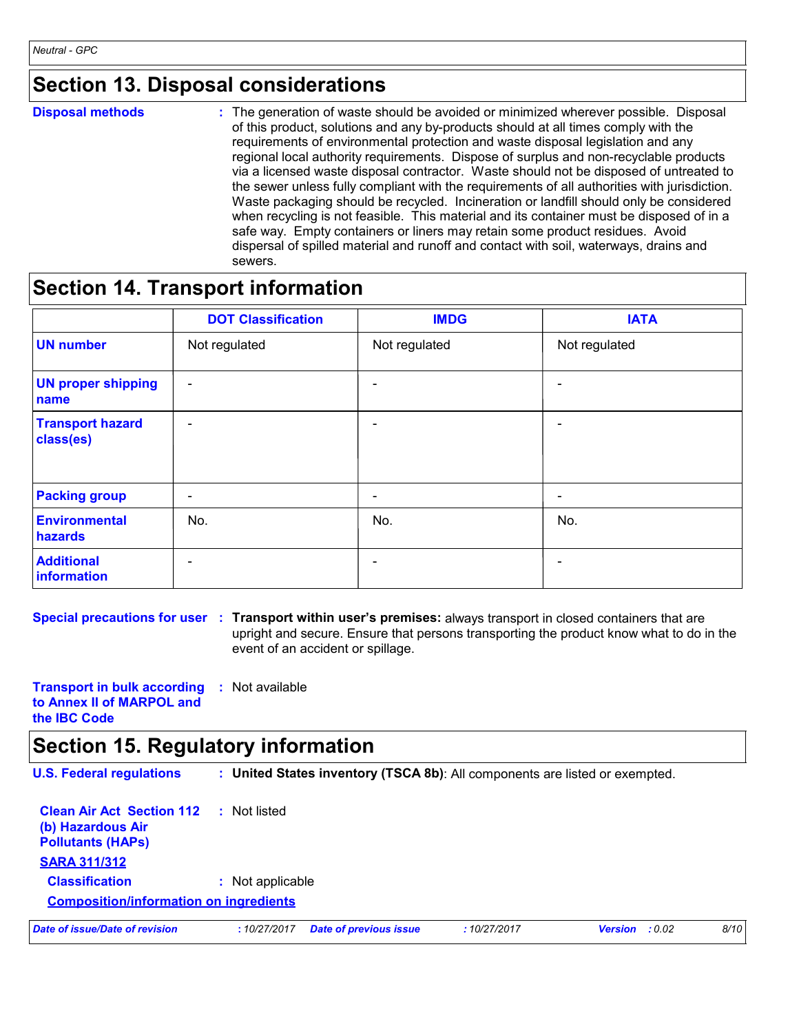### **Section 13. Disposal considerations**

**Disposal methods :**

The generation of waste should be avoided or minimized wherever possible. Disposal of this product, solutions and any by-products should at all times comply with the requirements of environmental protection and waste disposal legislation and any regional local authority requirements. Dispose of surplus and non-recyclable products via a licensed waste disposal contractor. Waste should not be disposed of untreated to the sewer unless fully compliant with the requirements of all authorities with jurisdiction. Waste packaging should be recycled. Incineration or landfill should only be considered when recycling is not feasible. This material and its container must be disposed of in a safe way. Empty containers or liners may retain some product residues. Avoid dispersal of spilled material and runoff and contact with soil, waterways, drains and sewers.

### **Section 14. Transport information**

|                                      | <b>DOT Classification</b> | <b>IMDG</b>              | <b>IATA</b>   |
|--------------------------------------|---------------------------|--------------------------|---------------|
| <b>UN number</b>                     | Not regulated             | Not regulated            | Not regulated |
| <b>UN proper shipping</b><br>name    | $\overline{\phantom{a}}$  | $\overline{\phantom{0}}$ | ۰             |
| <b>Transport hazard</b><br>class(es) | $\overline{\phantom{a}}$  | $\overline{\phantom{0}}$ | ۰             |
| <b>Packing group</b>                 | $\overline{\phantom{a}}$  | -                        | ۰             |
| <b>Environmental</b><br>hazards      | No.                       | No.                      | No.           |
| <b>Additional</b><br>information     | -                         |                          | -             |

**Special precautions for user Transport within user's premises:** always transport in closed containers that are **:** upright and secure. Ensure that persons transporting the product know what to do in the event of an accident or spillage.

**Transport in bulk according :** Not available **to Annex II of MARPOL and the IBC Code**

### **Section 15. Regulatory information**

| <b>U.S. Federal regulations</b>                                                   | : United States inventory (TSCA 8b): All components are listed or exempted.   |                |  |  |  |  |
|-----------------------------------------------------------------------------------|-------------------------------------------------------------------------------|----------------|--|--|--|--|
| <b>Clean Air Act Section 112</b><br>(b) Hazardous Air<br><b>Pollutants (HAPs)</b> | Not listed<br>t.                                                              |                |  |  |  |  |
| <b>SARA 311/312</b>                                                               |                                                                               |                |  |  |  |  |
| <b>Classification</b>                                                             | : Not applicable                                                              |                |  |  |  |  |
| <b>Composition/information on ingredients</b>                                     |                                                                               |                |  |  |  |  |
| Date of issue/Date of revision                                                    | <b>Date of previous issue</b><br>:10/27/2017<br>:10/27/2017<br><b>Version</b> | 8/10<br>: 0.02 |  |  |  |  |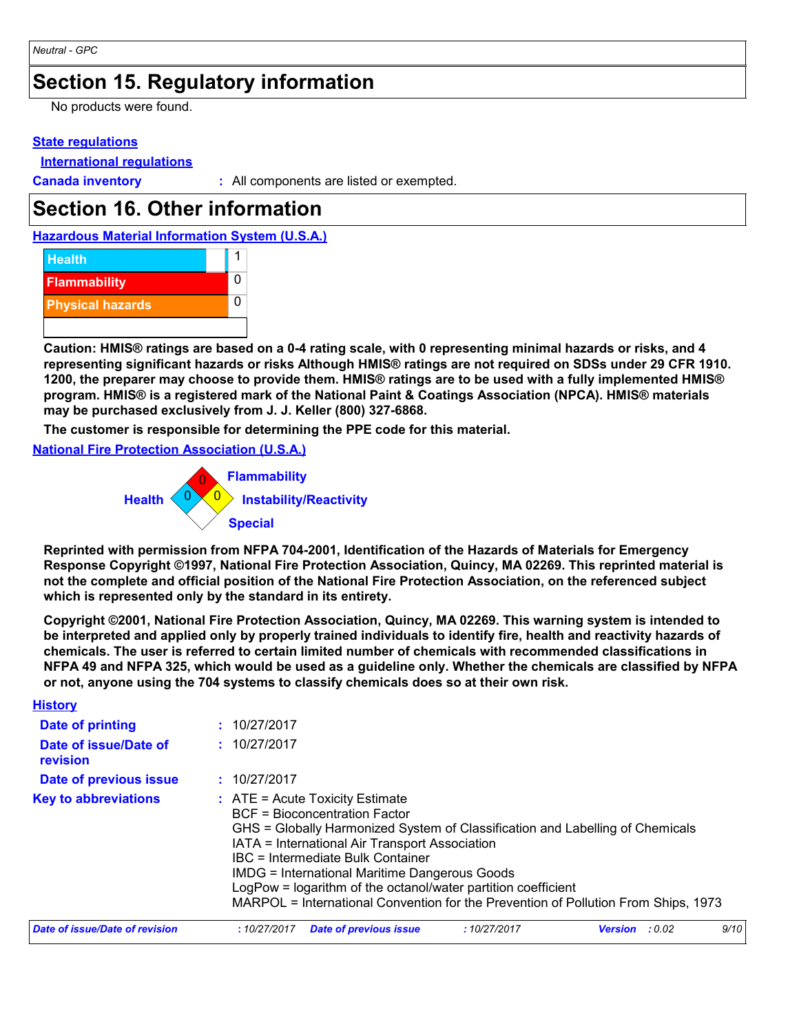### **Section 15. Regulatory information**

No products were found.

#### **State regulations**

**International regulations**

**Canada inventory :** All components are listed or exempted.

### **Section 16. Other information**

**Hazardous Material Information System (U.S.A.)**



**Caution: HMIS® ratings are based on a 0-4 rating scale, with 0 representing minimal hazards or risks, and 4 representing significant hazards or risks Although HMIS® ratings are not required on SDSs under 29 CFR 1910. 1200, the preparer may choose to provide them. HMIS® ratings are to be used with a fully implemented HMIS® program. HMIS® is a registered mark of the National Paint & Coatings Association (NPCA). HMIS® materials may be purchased exclusively from J. J. Keller (800) 327-6868.**

**The customer is responsible for determining the PPE code for this material.**

**National Fire Protection Association (U.S.A.)**



**Reprinted with permission from NFPA 704-2001, Identification of the Hazards of Materials for Emergency Response Copyright ©1997, National Fire Protection Association, Quincy, MA 02269. This reprinted material is not the complete and official position of the National Fire Protection Association, on the referenced subject which is represented only by the standard in its entirety.**

**Copyright ©2001, National Fire Protection Association, Quincy, MA 02269. This warning system is intended to be interpreted and applied only by properly trained individuals to identify fire, health and reactivity hazards of chemicals. The user is referred to certain limited number of chemicals with recommended classifications in NFPA 49 and NFPA 325, which would be used as a guideline only. Whether the chemicals are classified by NFPA or not, anyone using the 704 systems to classify chemicals does so at their own risk.**

| <b>History</b>                    |                                            |                                                                                                                                                                                     |                                                                                                                                                                                                                                      |                |        |      |
|-----------------------------------|--------------------------------------------|-------------------------------------------------------------------------------------------------------------------------------------------------------------------------------------|--------------------------------------------------------------------------------------------------------------------------------------------------------------------------------------------------------------------------------------|----------------|--------|------|
| Date of printing                  | : 10/27/2017                               |                                                                                                                                                                                     |                                                                                                                                                                                                                                      |                |        |      |
| Date of issue/Date of<br>revision | : 10/27/2017                               |                                                                                                                                                                                     |                                                                                                                                                                                                                                      |                |        |      |
| Date of previous issue            | : 10/27/2017                               |                                                                                                                                                                                     |                                                                                                                                                                                                                                      |                |        |      |
| <b>Key to abbreviations</b>       | $\therefore$ ATE = Acute Toxicity Estimate | <b>BCF</b> = Bioconcentration Factor<br>IATA = International Air Transport Association<br>IBC = Intermediate Bulk Container<br><b>IMDG = International Maritime Dangerous Goods</b> | GHS = Globally Harmonized System of Classification and Labelling of Chemicals<br>LogPow = logarithm of the octanol/water partition coefficient<br>MARPOL = International Convention for the Prevention of Pollution From Ships, 1973 |                |        |      |
| Date of issue/Date of revision    | :10/27/2017                                | <b>Date of previous issue</b>                                                                                                                                                       | :10/27/2017                                                                                                                                                                                                                          | <b>Version</b> | : 0.02 | 9/10 |